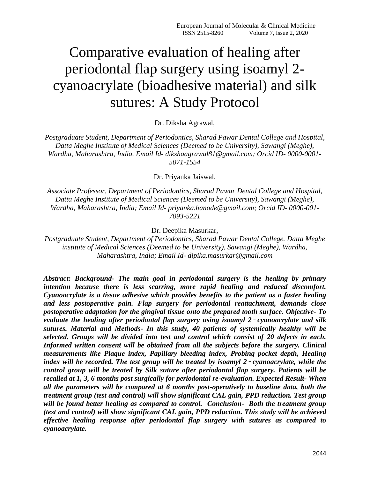# Comparative evaluation of healing after periodontal flap surgery using isoamyl 2 cyanoacrylate (bioadhesive material) and silk sutures: A Study Protocol

Dr. Diksha Agrawal,

*Postgraduate Student, Department of Periodontics, Sharad Pawar Dental College and Hospital, Datta Meghe Institute of Medical Sciences (Deemed to be University), Sawangi (Meghe), Wardha, Maharashtra, India. Email Id- dikshaagrawal81@gmail.com; Orcid ID- 0000-0001- 5071-1554*

Dr. Priyanka Jaiswal,

*Associate Professor, Department of Periodontics, Sharad Pawar Dental College and Hospital, Datta Meghe Institute of Medical Sciences (Deemed to be University), Sawangi (Meghe), Wardha, Maharashtra, India; Email Id- priyanka.banode@gmail.com; Orcid ID- 0000-001- 7093-5221*

Dr. Deepika Masurkar,

*Postgraduate Student, Department of Periodontics, Sharad Pawar Dental College. Datta Meghe institute of Medical Sciences (Deemed to be University), Sawangi (Meghe), Wardha, Maharashtra, India; Email Id- dipika.masurkar@gmail.com*

*Abstract: Background- The main goal in periodontal surgery is the healing by primary intention because there is less scarring, more rapid healing and reduced discomfort. Cyanoacrylate is a tissue adhesive which provides benefits to the patient as a faster healing and less postoperative pain. Flap surgery for periodontal reattachment, demands close postoperative adaptation for the gingival tissue onto the prepared tooth surface. Objective- To evaluate the healing after periodontal flap surgery using isoamyl 2*‑ *cyanoacrylate and silk sutures. Material and Methods- In this study, 40 patients of systemically healthy will be selected. Groups will be divided into test and control which consist of 20 defects in each. Informed written consent will be obtained from all the subjects before the surgery. Clinical measurements like Plaque index, Papillary bleeding index, Probing pocket depth, Healing index will be recorded. The test group will be treated by isoamyl 2*‑ *cyanoacrylate, while the control group will be treated by Silk suture after periodontal flap surgery. Patients will be recalled at 1, 3, 6 months post surgically for periodontal re-evaluation. Expected Result- When all the parameters will be compared at 6 months post-operatively to baseline data, both the treatment group (test and control) will show significant CAL gain, PPD reduction. Test group will be found better healing as compared to control. Conclusion- Both the treatment group (test and control) will show significant CAL gain, PPD reduction. This study will be achieved effective healing response after periodontal flap surgery with sutures as compared to cyanoacrylate.*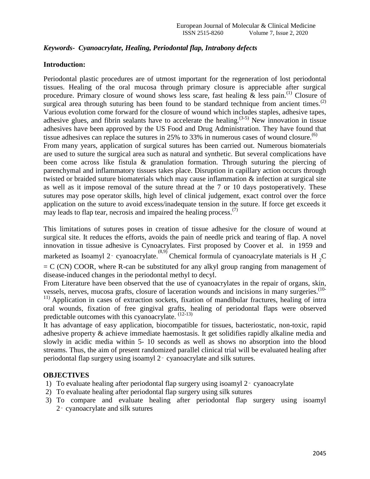## *Keywords- Cyanoacrylate, Healing, Periodontal flap, Intrabony defects*

## **Introduction:**

Periodontal plastic procedures are of utmost important for the regeneration of lost periodontal tissues. Healing of the oral mucosa through primary closure is appreciable after surgical procedure. Primary closure of wound shows less scare, fast healing  $\&$  less pain.<sup>(1)</sup> Closure of surgical area through suturing has been found to be standard technique from ancient times.<sup>(2)</sup> Various evolution come forward for the closure of wound which includes staples, adhesive tapes, adhesive glues, and fibrin sealants have to accelerate the healing.<sup> $(3-5)$ </sup> New innovation in tissue adhesives have been approved by the US Food and Drug Administration. They have found that tissue adhesives can replace the sutures in 25% to 33% in numerous cases of wound closure.<sup>(6)</sup> From many years, application of surgical sutures has been carried out. Numerous biomaterials are used to suture the surgical area such as natural and synthetic. But several complications have been come across like fistula & granulation formation. Through suturing the piercing of parenchymal and inflammatory tissues takes place. Disruption in capillary action occurs through twisted or braided suture biomaterials which may cause inflammation & infection at surgical site as well as it impose removal of the suture thread at the 7 or 10 days postoperatively. These sutures may pose operator skills, high level of clinical judgement, exact control over the force application on the suture to avoid excess/inadequate tension in the suture. If force get exceeds it may leads to flap tear, necrosis and impaired the healing process.<sup> $(7)$ </sup>

This limitations of sutures poses in creation of tissue adhesive for the closure of wound at surgical site. It reduces the efforts, avoids the pain of needle prick and tearing of flap. A novel innovation in tissue adhesive is Cynoacrylates. First proposed by Coover et al. in 1959 and marketed as Isoamyl 2 - cyanoacrylate. Chemical formula of cyanoacrylate materials is H<sub>2</sub>C  $= C$  (CN) COOR, where R-can be substituted for any alkyl group ranging from management of disease-induced changes in the periodontal methyl to decyl.

From Literature have been observed that the use of cyanoacrylates in the repair of organs, skin, vessels, nerves, mucosa grafts, closure of laceration wounds and incisions in many surgeries.<sup>(10-</sup>

<sup>11)</sup> Application in cases of extraction sockets, fixation of mandibular fractures, healing of intra oral wounds, fixation of free gingival grafts, healing of periodontal flaps were observed predictable outcomes with this cyanoacrylate.  $(12-13)$ 

It has advantage of easy application, biocompatible for tissues, bacteriostatic, non-toxic, rapid adhesive property & achieve immediate haemostasis. It get solidifies rapidly alkaline media and slowly in acidic media within 5- 10 seconds as well as shows no absorption into the blood streams. Thus, the aim of present randomized parallel clinical trial will be evaluated healing after periodontal flap surgery using isoamyl 2‑ cyanoacrylate and silk sutures.

## **OBJECTIVES**

- 1) To evaluate healing after periodontal flap surgery using isoamyl 2‑ cyanoacrylate
- 2) To evaluate healing after periodontal flap surgery using silk sutures
- 3) To compare and evaluate healing after periodontal flap surgery using isoamyl 2‑ cyanoacrylate and silk sutures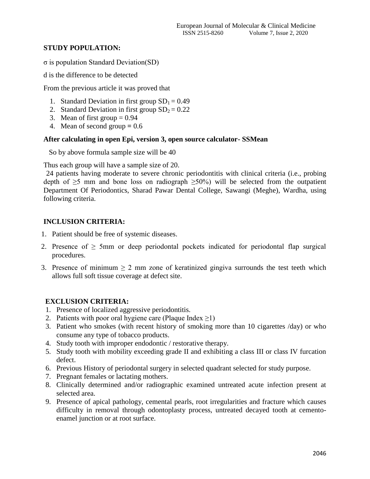# **STUDY POPULATION:**

σ is population Standard Deviation(SD)

d is the difference to be detected

From the previous article it was proved that

- 1. Standard Deviation in first group  $SD_1 = 0.49$
- 2. Standard Deviation in first group  $SD_2 = 0.22$
- 3. Mean of first group  $= 0.94$
- 4. Mean of second group  $= 0.6$

## **After calculating in open Epi, version 3, open source calculator- SSMean**

So by above formula sample size will be 40

Thus each group will have a sample size of 20.

 24 patients having moderate to severe chronic periodontitis with clinical criteria (i.e., probing depth of  $\geq$ 5 mm and bone loss on radiograph  $\geq$ 50%) will be selected from the outpatient Department Of Periodontics, Sharad Pawar Dental College, Sawangi (Meghe), Wardha, using following criteria.

# **INCLUSION CRITERIA:**

- 1. Patient should be free of systemic diseases.
- 2. Presence of  $\geq$  5mm or deep periodontal pockets indicated for periodontal flap surgical procedures.
- 3. Presence of minimum  $\geq 2$  mm zone of keratinized gingiva surrounds the test teeth which allows full soft tissue coverage at defect site.

# **EXCLUSION CRITERIA:**

- 1. Presence of localized aggressive periodontitis.
- 2. Patients with poor oral hygiene care (Plaque Index  $\geq$ 1)
- 3. Patient who smokes (with recent history of smoking more than 10 cigarettes /day) or who consume any type of tobacco products.
- 4. Study tooth with improper endodontic / restorative therapy.
- 5. Study tooth with mobility exceeding grade II and exhibiting a class III or class IV furcation defect.
- 6. Previous History of periodontal surgery in selected quadrant selected for study purpose.
- 7. Pregnant females or lactating mothers.
- 8. Clinically determined and/or radiographic examined untreated acute infection present at selected area.
- 9. Presence of apical pathology, cemental pearls, root irregularities and fracture which causes difficulty in removal through odontoplasty process, untreated decayed tooth at cementoenamel junction or at root surface.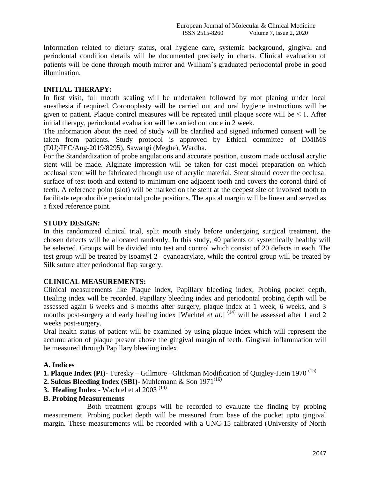Information related to dietary status, oral hygiene care, systemic background, gingival and periodontal condition details will be documented precisely in charts. Clinical evaluation of patients will be done through mouth mirror and William's graduated periodontal probe in good illumination.

## **INITIAL THERAPY:**

In first visit, full mouth scaling will be undertaken followed by root planing under local anesthesia if required. Coronoplasty will be carried out and oral hygiene instructions will be given to patient. Plaque control measures will be repeated until plaque score will be  $\leq 1$ . After initial therapy, periodontal evaluation will be carried out once in 2 week.

The information about the need of study will be clarified and signed informed consent will be taken from patients. Study protocol is approved by Ethical committee of DMIMS (DU)/IEC/Aug-2019/8295), Sawangi (Meghe), Wardha.

For the Standardization of probe angulations and accurate position, custom made occlusal acrylic stent will be made. Alginate impression will be taken for cast model preparation on which occlusal stent will be fabricated through use of acrylic material. Stent should cover the occlusal surface of test tooth and extend to minimum one adjacent tooth and covers the coronal third of teeth. A reference point (slot) will be marked on the stent at the deepest site of involved tooth to facilitate reproducible periodontal probe positions. The apical margin will be linear and served as a fixed reference point.

## **STUDY DESIGN:**

In this randomized clinical trial, split mouth study before undergoing surgical treatment, the chosen defects will be allocated randomly. In this study, 40 patients of systemically healthy will be selected. Groups will be divided into test and control which consist of 20 defects in each. The test group will be treated by isoamyl 2‑ cyanoacrylate, while the control group will be treated by Silk suture after periodontal flap surgery.

## **CLINICAL MEASUREMENTS:**

Clinical measurements like Plaque index, Papillary bleeding index, Probing pocket depth, Healing index will be recorded. Papillary bleeding index and periodontal probing depth will be assessed again 6 weeks and 3 months after surgery, plaque index at 1 week, 6 weeks, and 3 months post-surgery and early healing index [Wachtel *et al.*]  $(14)$  will be assessed after 1 and 2 weeks post-surgery.

Oral health status of patient will be examined by using plaque index which will represent the accumulation of plaque present above the gingival margin of teeth. Gingival inflammation will be measured through Papillary bleeding index.

# **A. Indices**

**1. Plaque Index (PI)-** Turesky – Gillmore –Glickman Modification of Quigley-Hein 1970 (15)

**2. Sulcus Bleeding Index (SBI)-** Muhlemann & Son 1971<sup>(16)</sup>

**3. Healing Index** - Wachtel et al 2003<sup>(14)</sup>

## **B. Probing Measurements**

Both treatment groups will be recorded to evaluate the finding by probing measurement. Probing pocket depth will be measured from base of the pocket upto gingival margin. These measurements will be recorded with a UNC-15 calibrated (University of North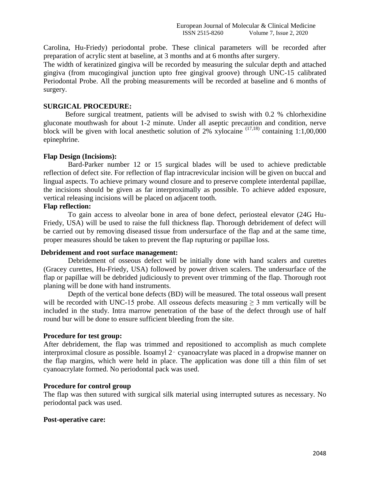Carolina, Hu-Friedy) periodontal probe. These clinical parameters will be recorded after preparation of acrylic stent at baseline, at 3 months and at 6 months after surgery.

The width of keratinized gingiva will be recorded by measuring the sulcular depth and attached gingiva (from mucogingival junction upto free gingival groove) through UNC-15 calibrated Periodontal Probe. All the probing measurements will be recorded at baseline and 6 months of surgery.

## **SURGICAL PROCEDURE:**

Before surgical treatment, patients will be advised to swish with 0.2 % chlorhexidine gluconate mouthwash for about 1-2 minute. Under all aseptic precaution and condition, nerve block will be given with local anesthetic solution of 2% xylocaine  $(17,18)$  containing 1:1,00,000 epinephrine.

## **Flap Design (Incisions):**

Bard-Parker number 12 or 15 surgical blades will be used to achieve predictable reflection of defect site. For reflection of flap intracrevicular incision will be given on buccal and lingual aspects. To achieve primary wound closure and to preserve complete interdental papillae, the incisions should be given as far interproximally as possible. To achieve added exposure, vertical releasing incisions will be placed on adjacent tooth.

## **Flap reflection:**

To gain access to alveolar bone in area of bone defect, periosteal elevator (24G Hu-Friedy, USA) will be used to raise the full thickness flap. Thorough debridement of defect will be carried out by removing diseased tissue from undersurface of the flap and at the same time, proper measures should be taken to prevent the flap rupturing or papillae loss.

## **Debridement and root surface management:**

Debridement of osseous defect will be initially done with hand scalers and curettes (Gracey curettes, Hu-Friedy, USA) followed by power driven scalers. The undersurface of the flap or papillae will be debrided judiciously to prevent over trimming of the flap. Thorough root planing will be done with hand instruments.

Depth of the vertical bone defects (BD) will be measured. The total osseous wall present will be recorded with UNC-15 probe. All osseous defects measuring  $\geq$  3 mm vertically will be included in the study. Intra marrow penetration of the base of the defect through use of half round bur will be done to ensure sufficient bleeding from the site.

## **Procedure for test group:**

After debridement, the flap was trimmed and repositioned to accomplish as much complete interproximal closure as possible. Isoamyl 2‑ cyanoacrylate was placed in a dropwise manner on the flap margins, which were held in place. The application was done till a thin film of set cyanoacrylate formed. No periodontal pack was used.

## **Procedure for control group**

The flap was then sutured with surgical silk material using interrupted sutures as necessary. No periodontal pack was used.

## **Post-operative care:**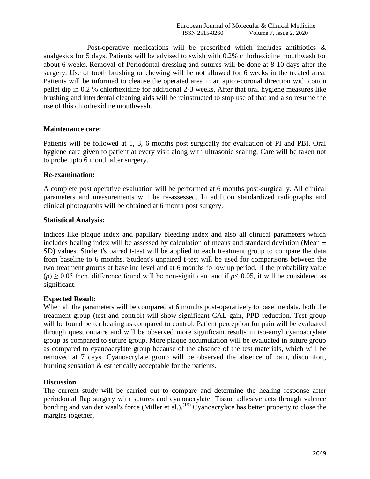Post-operative medications will be prescribed which includes antibiotics & analgesics for 5 days. Patients will be advised to swish with 0.2% chlorhexidine mouthwash for about 6 weeks. Removal of Periodontal dressing and sutures will be done at 8-10 days after the surgery. Use of tooth brushing or chewing will be not allowed for 6 weeks in the treated area. Patients will be informed to cleanse the operated area in an apico-coronal direction with cotton pellet dip in 0.2 % chlorhexidine for additional 2-3 weeks. After that oral hygiene measures like brushing and interdental cleaning aids will be reinstructed to stop use of that and also resume the use of this chlorhexidine mouthwash.

#### **Maintenance care:**

Patients will be followed at 1, 3, 6 months post surgically for evaluation of PI and PBI. Oral hygiene care given to patient at every visit along with ultrasonic scaling. Care will be taken not to probe upto 6 month after surgery.

## **Re-examination:**

A complete post operative evaluation will be performed at 6 months post-surgically. All clinical parameters and measurements will be re-assessed. In addition standardized radiographs and clinical photographs will be obtained at 6 month post surgery.

#### **Statistical Analysis:**

Indices like plaque index and papillary bleeding index and also all clinical parameters which includes healing index will be assessed by calculation of means and standard deviation (Mean  $\pm$ SD) values. Student's paired t-test will be applied to each treatment group to compare the data from baseline to 6 months. Student's unpaired t-test will be used for comparisons between the two treatment groups at baseline level and at 6 months follow up period. If the probability value  $(p) \ge 0.05$  then, difference found will be non-significant and if  $p < 0.05$ , it will be considered as significant.

## **Expected Result:**

When all the parameters will be compared at 6 months post-operatively to baseline data, both the treatment group (test and control) will show significant CAL gain, PPD reduction. Test group will be found better healing as compared to control. Patient perception for pain will be evaluated through questionnaire and will be observed more significant results in iso-amyl cyanoacrylate group as compared to suture group. More plaque accumulation will be evaluated in suture group as compared to cyanoacrylate group because of the absence of the test materials, which will be removed at 7 days. Cyanoacrylate group will be observed the absence of pain, discomfort, burning sensation & esthetically acceptable for the patients.

#### **Discussion**

The current study will be carried out to compare and determine the healing response after periodontal flap surgery with sutures and cyanoacrylate. Tissue adhesive acts through valence bonding and van der waal's force (Miller et al.).<sup>(19)</sup> Cyanoacrylate has better property to close the margins together.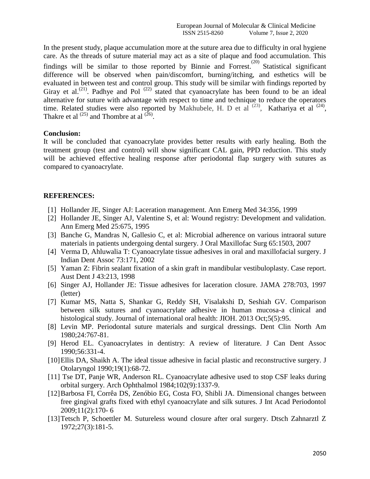In the present study, plaque accumulation more at the suture area due to difficulty in oral hygiene care. As the threads of suture material may act as a site of plaque and food accumulation. This findings will be similar to those reported by Binnie and Forrest.<sup>(20)</sup> Statistical significant difference will be observed when pain/discomfort, burning/itching, and esthetics will be evaluated in between test and control group. This study will be similar with findings reported by Giray et al.<sup>(21)</sup>. Padhye and Pol<sup>(22)</sup> stated that cyanoacrylate has been found to be an ideal alternative for suture with advantage with respect to time and technique to reduce the operators time. Related studies were also reported by Makhubele, H. D et al  $^{(23)}$ , Kathariya et al  $^{(24)}$ , Thakre et al  $^{(25)}$  and Thombre at al  $^{(26)}$ .

#### **Conclusion:**

It will be concluded that cyanoacrylate provides better results with early healing. Both the treatment group (test and control) will show significant CAL gain, PPD reduction. This study will be achieved effective healing response after periodontal flap surgery with sutures as compared to cyanoacrylate.

#### **REFERENCES:**

- [1] Hollander JE, Singer AJ: Laceration management. Ann Emerg Med 34:356, 1999
- [2] Hollander JE, Singer AJ, Valentine S, et al: Wound registry: Development and validation. Ann Emerg Med 25:675, 1995
- [3] Banche G, Mandras N, Gallesio C, et al: Microbial adherence on various intraoral suture materials in patients undergoing dental surgery. J Oral Maxillofac Surg 65:1503, 2007
- [4] Verma D, Ahluwalia T: Cyanoacrylate tissue adhesives in oral and maxillofacial surgery. J Indian Dent Assoc 73:171, 2002
- [5] Yaman Z: Fibrin sealant fixation of a skin graft in mandibular vestibuloplasty. Case report. Aust Dent J 43:213, 1998
- [6] Singer AJ, Hollander JE: Tissue adhesives for laceration closure. JAMA 278:703, 1997 (letter)
- [7] Kumar MS, Natta S, Shankar G, Reddy SH, Visalakshi D, Seshiah GV. Comparison between silk sutures and cyanoacrylate adhesive in human mucosa-a clinical and histological study. Journal of international oral health: JIOH. 2013 Oct;5(5):95.
- [8] Levin MP. Periodontal suture materials and surgical dressings. Dent Clin North Am 1980;24:767-81.
- [9] Herod EL. Cyanoacrylates in dentistry: A review of literature. J Can Dent Assoc 1990;56:331-4.
- [10]Ellis DA, Shaikh A. The ideal tissue adhesive in facial plastic and reconstructive surgery. J Otolaryngol 1990;19(1):68-72.
- [11] Tse DT, Panje WR, Anderson RL. Cyanoacrylate adhesive used to stop CSF leaks during orbital surgery. Arch Ophthalmol 1984;102(9):1337-9.
- [12]Barbosa FI, Corrêa DS, Zenóbio EG, Costa FO, Shibli JA. Dimensional changes between free gingival grafts fixed with ethyl cyanoacrylate and silk sutures. J Int Acad Periodontol 2009;11(2):170- 6
- [13]Tetsch P, Schoettler M. Sutureless wound closure after oral surgery. Dtsch Zahnarztl Z 1972;27(3):181-5.